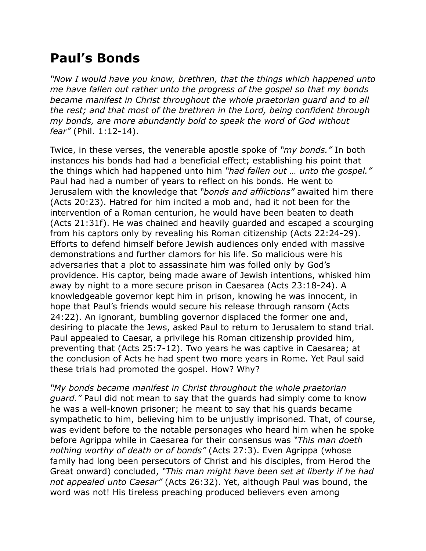## **Paul's Bonds**

*"Now I would have you know, brethren, that the things which happened unto me have fallen out rather unto the progress of the gospel so that my bonds became manifest in Christ throughout the whole praetorian guard and to all the rest; and that most of the brethren in the Lord, being confident through my bonds, are more abundantly bold to speak the word of God without fear"* (Phil. 1:12-14).

Twice, in these verses, the venerable apostle spoke of *"my bonds."* In both instances his bonds had had a beneficial effect; establishing his point that the things which had happened unto him *"had fallen out … unto the gospel."* Paul had had a number of years to reflect on his bonds. He went to Jerusalem with the knowledge that *"bonds and afflictions"* awaited him there (Acts 20:23). Hatred for him incited a mob and, had it not been for the intervention of a Roman centurion, he would have been beaten to death (Acts 21:31f). He was chained and heavily guarded and escaped a scourging from his captors only by revealing his Roman citizenship (Acts 22:24-29). Efforts to defend himself before Jewish audiences only ended with massive demonstrations and further clamors for his life. So malicious were his adversaries that a plot to assassinate him was foiled only by God's providence. His captor, being made aware of Jewish intentions, whisked him away by night to a more secure prison in Caesarea (Acts 23:18-24). A knowledgeable governor kept him in prison, knowing he was innocent, in hope that Paul's friends would secure his release through ransom (Acts 24:22). An ignorant, bumbling governor displaced the former one and, desiring to placate the Jews, asked Paul to return to Jerusalem to stand trial. Paul appealed to Caesar, a privilege his Roman citizenship provided him, preventing that (Acts 25:7-12). Two years he was captive in Caesarea; at the conclusion of Acts he had spent two more years in Rome. Yet Paul said these trials had promoted the gospel. How? Why?

*"My bonds became manifest in Christ throughout the whole praetorian guard."* Paul did not mean to say that the guards had simply come to know he was a well-known prisoner; he meant to say that his guards became sympathetic to him, believing him to be unjustly imprisoned. That, of course, was evident before to the notable personages who heard him when he spoke before Agrippa while in Caesarea for their consensus was *"This man doeth nothing worthy of death or of bonds"* (Acts 27:3). Even Agrippa (whose family had long been persecutors of Christ and his disciples, from Herod the Great onward) concluded, *"This man might have been set at liberty if he had not appealed unto Caesar"* (Acts 26:32). Yet, although Paul was bound, the word was not! His tireless preaching produced believers even among